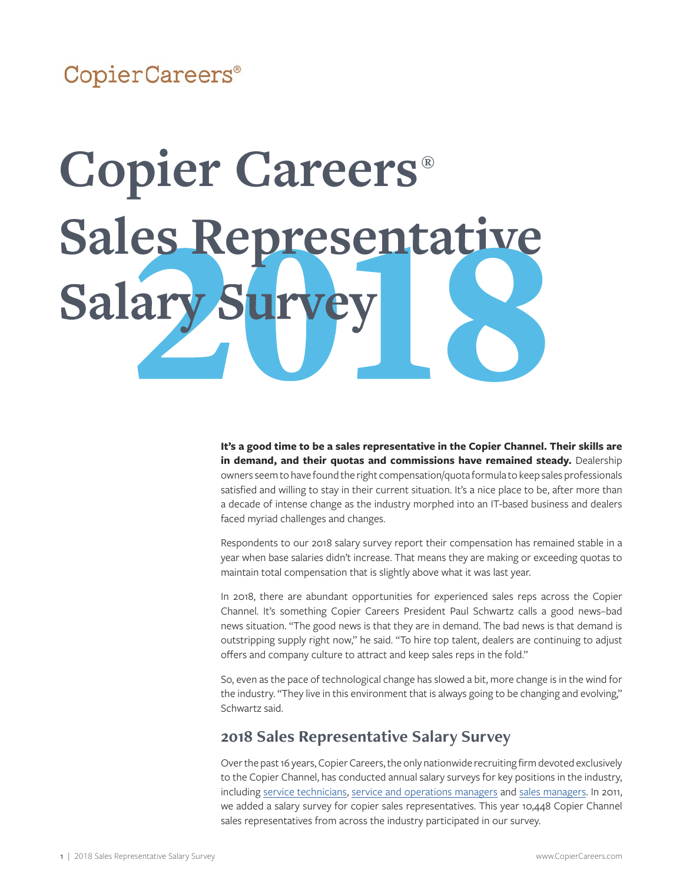### CopierCareers®

# **Copier Careers® Sales Representative** Salary

**It's a good time to be a sales representative in the Copier Channel. Their skills are in demand, and their quotas and commissions have remained steady.** Dealership owners seem to have found the right compensation/quota formula to keep sales professionals satisfied and willing to stay in their current situation. It's a nice place to be, after more than a decade of intense change as the industry morphed into an IT-based business and dealers faced myriad challenges and changes.

Respondents to our 2018 salary survey report their compensation has remained stable in a year when base salaries didn't increase. That means they are making or exceeding quotas to maintain total compensation that is slightly above what it was last year.

In 2018, there are abundant opportunities for experienced sales reps across the Copier Channel. It's something Copier Careers President Paul Schwartz calls a good news–bad news situation. "The good news is that they are in demand. The bad news is that demand is outstripping supply right now," he said. "To hire top talent, dealers are continuing to adjust offers and company culture to attract and keep sales reps in the fold."

So, even as the pace of technological change has slowed a bit, more change is in the wind for the industry. "They live in this environment that is always going to be changing and evolving," Schwartz said.

#### **2018 Sales Representative Salary Survey**

Over the past 16 years, Copier Careers, the only nationwide recruiting firm devoted exclusively to the Copier Channel, has conducted annual salary surveys for key positions in the industry, including [service technicians](https://copiercareers.com/wp-content/uploads/sites/24/2018/05/2018-service-technician-salary-survey.pdf), [service and operations managers](https://copiercareers.com/wp-content/uploads/sites/24/2018/07/2018-service-and-operations-manager-salary-survey.pdf) and [sales managers.](https://copiercareers.com/wp-content/uploads/sites/24/2018/07/2018-sales-manager-salary-survey.pdf) In 2011, we added a salary survey for copier sales representatives. This year 10,448 Copier Channel sales representatives from across the industry participated in our survey.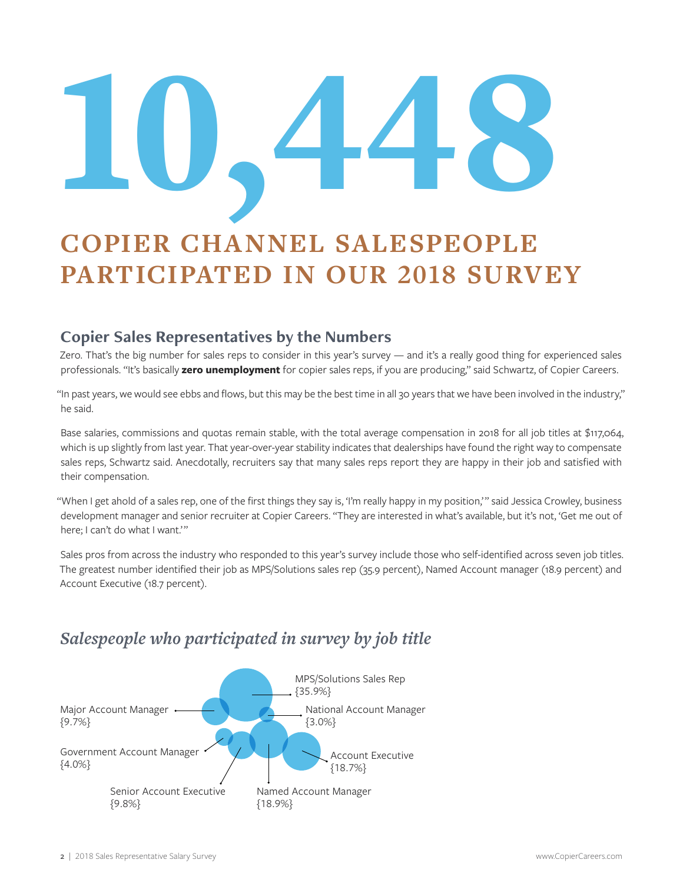# 10,448

# **COPIER CHANNEL SALESPEOPLE PARTICIPATED IN OUR 2018 SURVEY**

#### **Copier Sales Representatives by the Numbers**

Zero. That's the big number for sales reps to consider in this year's survey — and it's a really good thing for experienced sales professionals. "It's basically **zero unemployment** for copier sales reps, if you are producing," said Schwartz, of Copier Careers.

"In past years, we would see ebbs and flows, but this may be the best time in all 30 years that we have been involved in the industry," he said.

Base salaries, commissions and quotas remain stable, with the total average compensation in 2018 for all job titles at \$117,064, which is up slightly from last year. That year-over-year stability indicates that dealerships have found the right way to compensate sales reps, Schwartz said. Anecdotally, recruiters say that many sales reps report they are happy in their job and satisfied with their compensation.

"When I get ahold of a sales rep, one of the first things they say is, 'I'm really happy in my position,'" said Jessica Crowley, business development manager and senior recruiter at Copier Careers. "They are interested in what's available, but it's not, 'Get me out of here; I can't do what I want.'"

Sales pros from across the industry who responded to this year's survey include those who self-identified across seven job titles. The greatest number identified their job as MPS/Solutions sales rep (35.9 percent), Named Account manager (18.9 percent) and Account Executive (18.7 percent).

#### *Salespeople who participated in survey by job title*

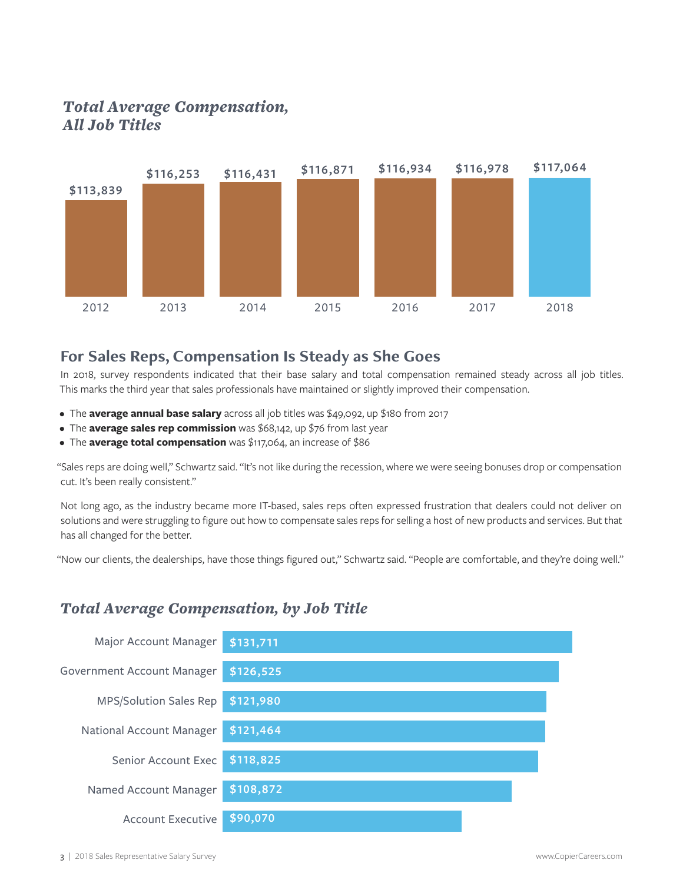#### *Total Average Compensation, All Job Titles*



#### **For Sales Reps, Compensation Is Steady as She Goes**

In 2018, survey respondents indicated that their base salary and total compensation remained steady across all job titles. This marks the third year that sales professionals have maintained or slightly improved their compensation.

- The **average annual base salary** across all job titles was \$49,092, up \$180 from 2017
- The **average sales rep commission** was \$68,142, up \$76 from last year
- The **average total compensation** was \$117,064, an increase of \$86

"Sales reps are doing well," Schwartz said. "It's not like during the recession, where we were seeing bonuses drop or compensation cut. It's been really consistent."

Not long ago, as the industry became more IT-based, sales reps often expressed frustration that dealers could not deliver on solutions and were struggling to figure out how to compensate sales reps for selling a host of new products and services. But that has all changed for the better.

"Now our clients, the dealerships, have those things figured out," Schwartz said. "People are comfortable, and they're doing well."

#### *Total Average Compensation, by Job Title*

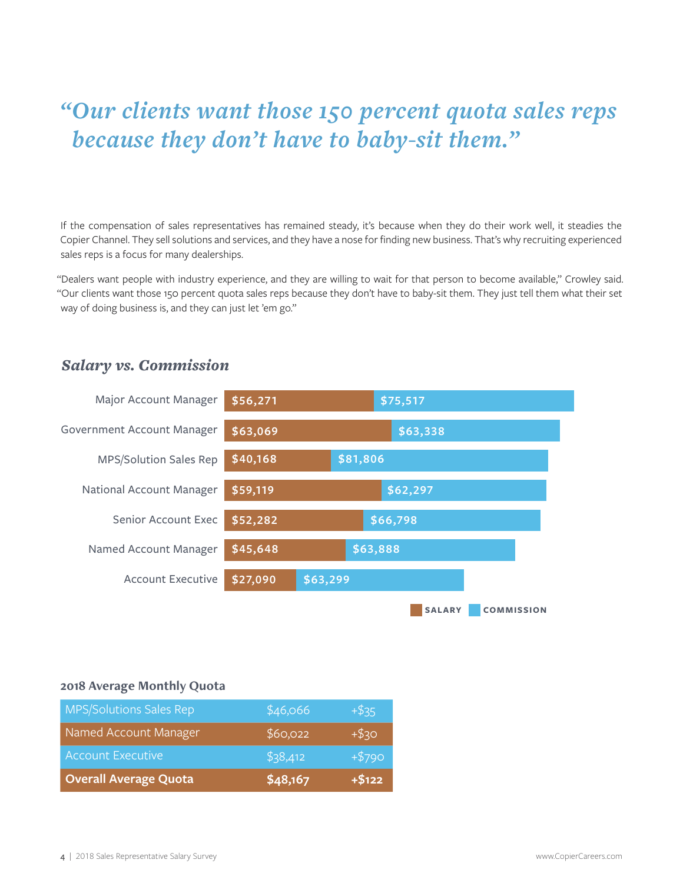# *"Our clients want those 150 percent quota sales reps because they don't have to baby-sit them."*

If the compensation of sales representatives has remained steady, it's because when they do their work well, it steadies the Copier Channel. They sell solutions and services, and they have a nose for finding new business. That's why recruiting experienced sales reps is a focus for many dealerships.

"Dealers want people with industry experience, and they are willing to wait for that person to become available," Crowley said. "Our clients want those 150 percent quota sales reps because they don't have to baby-sit them. They just tell them what their set way of doing business is, and they can just let 'em go."

#### *Salary vs. Commission*



#### **2018 Average Monthly Quota**

| <b>MPS/Solutions Sales Rep</b> | \$46,066 | $+$ \$35 |
|--------------------------------|----------|----------|
| Named Account Manager          | \$60,022 | $+ $30$  |
| <b>Account Executive</b>       | \$38,412 | $+ $790$ |
| <b>Overall Average Quota</b>   | \$48,167 | $+ $122$ |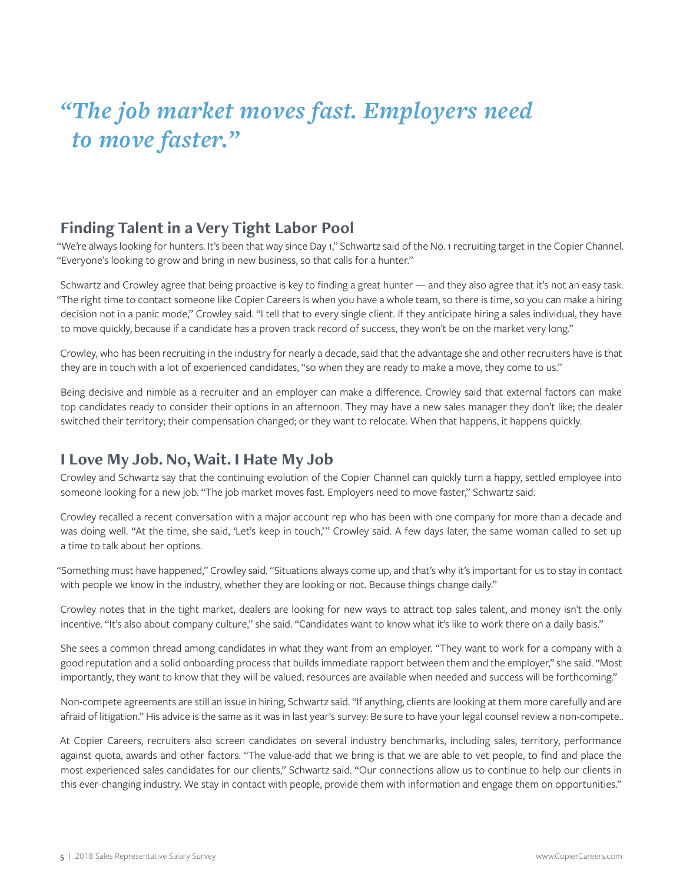# *"The job market moves fast. Employers need to move faster."*

#### **Finding Talent in a Very Tight Labor Pool**

"We're always looking for hunters. It's been that way since Day 1," Schwartz said of the No. 1 recruiting target in the Copier Channel. "Everyone's looking to grow and bring in new business, so that calls for a hunter."

Schwartz and Crowley agree that being proactive is key to finding a great hunter — and they also agree that it's not an easy task. "The right time to contact someone like Copier Careers is when you have a whole team, so there is time, so you can make a hiring decision not in a panic mode," Crowley said. "I tell that to every single client. If they anticipate hiring a sales individual, they have to move quickly, because if a candidate has a proven track record of success, they won't be on the market very long."

Crowley, who has been recruiting in the industry for nearly a decade, said that the advantage she and other recruiters have is that they are in touch with a lot of experienced candidates, "so when they are ready to make a move, they come to us."

Being decisive and nimble as a recruiter and an employer can make a difference. Crowley said that external factors can make top candidates ready to consider their options in an afternoon. They may have a new sales manager they don't like; the dealer switched their territory; their compensation changed; or they want to relocate. When that happens, it happens quickly.

#### **I Love My Job. No, Wait. I Hate My Job**

Crowley and Schwartz say that the continuing evolution of the Copier Channel can quickly turn a happy, settled employee into someone looking for a new job. "The job market moves fast. Employers need to move faster," Schwartz said.

Crowley recalled a recent conversation with a major account rep who has been with one company for more than a decade and was doing well. "At the time, she said, 'Let's keep in touch,'" Crowley said. A few days later, the same woman called to set up a time to talk about her options.

"Something must have happened," Crowley said. "Situations always come up, and that's why it's important for us to stay in contact with people we know in the industry, whether they are looking or not. Because things change daily."

Crowley notes that in the tight market, dealers are looking for new ways to attract top sales talent, and money isn't the only incentive. "It's also about company culture," she said. "Candidates want to know what it's like to work there on a daily basis."

She sees a common thread among candidates in what they want from an employer. "They want to work for a company with a good reputation and a solid onboarding process that builds immediate rapport between them and the employer," she said. "Most importantly, they want to know that they will be valued, resources are available when needed and success will be forthcoming."

Non-compete agreements are still an issue in hiring, Schwartz said. "If anything, clients are looking at them more carefully and are afraid of litigation." His advice is the same as it was in last year's survey: Be sure to have your legal counsel review a non-compete..

At Copier Careers, recruiters also screen candidates on several industry benchmarks, including sales, territory, performance against quota, awards and other factors. "The value-add that we bring is that we are able to vet people, to find and place the most experienced sales candidates for our clients," Schwartz said. "Our connections allow us to continue to help our clients in this ever-changing industry. We stay in contact with people, provide them with information and engage them on opportunities."